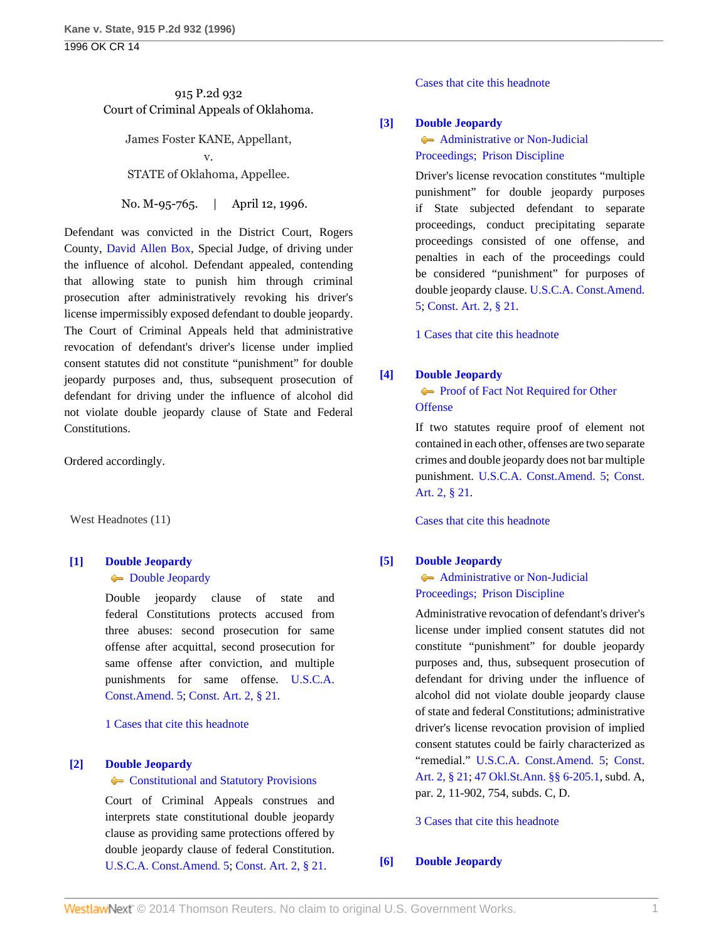# 915 P.2d 932 Court of Criminal Appeals of Oklahoma.

James Foster KANE, Appellant, v.

STATE of Oklahoma, Appellee.

No. M-95-765. | April 12, 1996.

Defendant was convicted in the District Court, Rogers County, [David Allen Box,](http://www.westlaw.com/Link/Document/FullText?findType=h&pubNum=176284&cite=0184689801&originatingDoc=I2f6135b3f57c11d9bf60c1d57ebc853e&refType=RQ&originationContext=document&vr=3.0&rs=cblt1.0&transitionType=DocumentItem&contextData=(sc.Search)) Special Judge, of driving under the influence of alcohol. Defendant appealed, contending that allowing state to punish him through criminal prosecution after administratively revoking his driver's license impermissibly exposed defendant to double jeopardy. The Court of Criminal Appeals held that administrative revocation of defendant's driver's license under implied consent statutes did not constitute "punishment" for double jeopardy purposes and, thus, subsequent prosecution of defendant for driving under the influence of alcohol did not violate double jeopardy clause of State and Federal Constitutions.

Ordered accordingly.

West Headnotes (11)

# <span id="page-0-0"></span>**[\[1\]](#page-2-0) [Double Jeopardy](http://www.westlaw.com/Browse/Home/KeyNumber/135H/View.html?docGuid=I2f6135b3f57c11d9bf60c1d57ebc853e&originationContext=document&vr=3.0&rs=cblt1.0&transitionType=DocumentItem&contextData=(sc.Search))**

### **[Double Jeopardy](http://www.westlaw.com/Browse/Home/KeyNumber/135H/View.html?docGuid=I2f6135b3f57c11d9bf60c1d57ebc853e&originationContext=document&vr=3.0&rs=cblt1.0&transitionType=DocumentItem&contextData=(sc.Search))**

Double jeopardy clause of state and federal Constitutions protects accused from three abuses: second prosecution for same offense after acquittal, second prosecution for same offense after conviction, and multiple punishments for same offense. [U.S.C.A.](http://www.westlaw.com/Link/Document/FullText?findType=L&pubNum=1000546&cite=USCOAMENDV&originatingDoc=I2f6135b3f57c11d9bf60c1d57ebc853e&refType=LQ&originationContext=document&vr=3.0&rs=cblt1.0&transitionType=DocumentItem&contextData=(sc.Search)) [Const.Amend. 5;](http://www.westlaw.com/Link/Document/FullText?findType=L&pubNum=1000546&cite=USCOAMENDV&originatingDoc=I2f6135b3f57c11d9bf60c1d57ebc853e&refType=LQ&originationContext=document&vr=3.0&rs=cblt1.0&transitionType=DocumentItem&contextData=(sc.Search)) [Const. Art. 2, § 21](http://www.westlaw.com/Link/Document/FullText?findType=L&pubNum=1000165&cite=OKCNART2S21&originatingDoc=I2f6135b3f57c11d9bf60c1d57ebc853e&refType=LQ&originationContext=document&vr=3.0&rs=cblt1.0&transitionType=DocumentItem&contextData=(sc.Search)).

[1 Cases that cite this headnote](http://www.westlaw.com/Link/RelatedInformation/DocHeadnoteLink?docGuid=I2f6135b3f57c11d9bf60c1d57ebc853e&headnoteId=199609333800120050118185437&originationContext=document&vr=3.0&rs=cblt1.0&transitionType=CitingReferences&contextData=(sc.Search))

## <span id="page-0-1"></span>**[\[2\]](#page-2-1) [Double Jeopardy](http://www.westlaw.com/Browse/Home/KeyNumber/135H/View.html?docGuid=I2f6135b3f57c11d9bf60c1d57ebc853e&originationContext=document&vr=3.0&rs=cblt1.0&transitionType=DocumentItem&contextData=(sc.Search))**

#### **[Constitutional and Statutory Provisions](http://www.westlaw.com/Browse/Home/KeyNumber/135Hk2/View.html?docGuid=I2f6135b3f57c11d9bf60c1d57ebc853e&originationContext=document&vr=3.0&rs=cblt1.0&transitionType=DocumentItem&contextData=(sc.Search))**

Court of Criminal Appeals construes and interprets state constitutional double jeopardy clause as providing same protections offered by double jeopardy clause of federal Constitution. [U.S.C.A. Const.Amend. 5;](http://www.westlaw.com/Link/Document/FullText?findType=L&pubNum=1000546&cite=USCOAMENDV&originatingDoc=I2f6135b3f57c11d9bf60c1d57ebc853e&refType=LQ&originationContext=document&vr=3.0&rs=cblt1.0&transitionType=DocumentItem&contextData=(sc.Search)) [Const. Art. 2, § 21](http://www.westlaw.com/Link/Document/FullText?findType=L&pubNum=1000165&cite=OKCNART2S21&originatingDoc=I2f6135b3f57c11d9bf60c1d57ebc853e&refType=LQ&originationContext=document&vr=3.0&rs=cblt1.0&transitionType=DocumentItem&contextData=(sc.Search)).

[Cases that cite this headnote](http://www.westlaw.com/Link/RelatedInformation/DocHeadnoteLink?docGuid=I2f6135b3f57c11d9bf60c1d57ebc853e&headnoteId=199609333800220050118185437&originationContext=document&vr=3.0&rs=cblt1.0&transitionType=CitingReferences&contextData=(sc.Search))

## <span id="page-0-2"></span>**[\[3\]](#page-3-0) [Double Jeopardy](http://www.westlaw.com/Browse/Home/KeyNumber/135H/View.html?docGuid=I2f6135b3f57c11d9bf60c1d57ebc853e&originationContext=document&vr=3.0&rs=cblt1.0&transitionType=DocumentItem&contextData=(sc.Search))**

**[Administrative or Non-Judicial](http://www.westlaw.com/Browse/Home/KeyNumber/135Hk24/View.html?docGuid=I2f6135b3f57c11d9bf60c1d57ebc853e&originationContext=document&vr=3.0&rs=cblt1.0&transitionType=DocumentItem&contextData=(sc.Search))** [Proceedings; Prison Discipline](http://www.westlaw.com/Browse/Home/KeyNumber/135Hk24/View.html?docGuid=I2f6135b3f57c11d9bf60c1d57ebc853e&originationContext=document&vr=3.0&rs=cblt1.0&transitionType=DocumentItem&contextData=(sc.Search))

Driver's license revocation constitutes "multiple punishment" for double jeopardy purposes if State subjected defendant to separate proceedings, conduct precipitating separate proceedings consisted of one offense, and penalties in each of the proceedings could be considered "punishment" for purposes of double jeopardy clause. [U.S.C.A. Const.Amend.](http://www.westlaw.com/Link/Document/FullText?findType=L&pubNum=1000546&cite=USCOAMENDV&originatingDoc=I2f6135b3f57c11d9bf60c1d57ebc853e&refType=LQ&originationContext=document&vr=3.0&rs=cblt1.0&transitionType=DocumentItem&contextData=(sc.Search)) [5](http://www.westlaw.com/Link/Document/FullText?findType=L&pubNum=1000546&cite=USCOAMENDV&originatingDoc=I2f6135b3f57c11d9bf60c1d57ebc853e&refType=LQ&originationContext=document&vr=3.0&rs=cblt1.0&transitionType=DocumentItem&contextData=(sc.Search)); [Const. Art. 2, § 21.](http://www.westlaw.com/Link/Document/FullText?findType=L&pubNum=1000165&cite=OKCNART2S21&originatingDoc=I2f6135b3f57c11d9bf60c1d57ebc853e&refType=LQ&originationContext=document&vr=3.0&rs=cblt1.0&transitionType=DocumentItem&contextData=(sc.Search))

[1 Cases that cite this headnote](http://www.westlaw.com/Link/RelatedInformation/DocHeadnoteLink?docGuid=I2f6135b3f57c11d9bf60c1d57ebc853e&headnoteId=199609333800320050118185437&originationContext=document&vr=3.0&rs=cblt1.0&transitionType=CitingReferences&contextData=(sc.Search))

## <span id="page-0-3"></span>**[\[4\]](#page-3-1) [Double Jeopardy](http://www.westlaw.com/Browse/Home/KeyNumber/135H/View.html?docGuid=I2f6135b3f57c11d9bf60c1d57ebc853e&originationContext=document&vr=3.0&rs=cblt1.0&transitionType=DocumentItem&contextData=(sc.Search))**

# **[Proof of Fact Not Required for Other](http://www.westlaw.com/Browse/Home/KeyNumber/135Hk135/View.html?docGuid=I2f6135b3f57c11d9bf60c1d57ebc853e&originationContext=document&vr=3.0&rs=cblt1.0&transitionType=DocumentItem&contextData=(sc.Search)) [Offense](http://www.westlaw.com/Browse/Home/KeyNumber/135Hk135/View.html?docGuid=I2f6135b3f57c11d9bf60c1d57ebc853e&originationContext=document&vr=3.0&rs=cblt1.0&transitionType=DocumentItem&contextData=(sc.Search))**

If two statutes require proof of element not contained in each other, offenses are two separate crimes and double jeopardy does not bar multiple punishment. [U.S.C.A. Const.Amend. 5;](http://www.westlaw.com/Link/Document/FullText?findType=L&pubNum=1000546&cite=USCOAMENDV&originatingDoc=I2f6135b3f57c11d9bf60c1d57ebc853e&refType=LQ&originationContext=document&vr=3.0&rs=cblt1.0&transitionType=DocumentItem&contextData=(sc.Search)) [Const.](http://www.westlaw.com/Link/Document/FullText?findType=L&pubNum=1000165&cite=OKCNART2S21&originatingDoc=I2f6135b3f57c11d9bf60c1d57ebc853e&refType=LQ&originationContext=document&vr=3.0&rs=cblt1.0&transitionType=DocumentItem&contextData=(sc.Search)) [Art. 2, § 21](http://www.westlaw.com/Link/Document/FullText?findType=L&pubNum=1000165&cite=OKCNART2S21&originatingDoc=I2f6135b3f57c11d9bf60c1d57ebc853e&refType=LQ&originationContext=document&vr=3.0&rs=cblt1.0&transitionType=DocumentItem&contextData=(sc.Search)).

[Cases that cite this headnote](http://www.westlaw.com/Link/RelatedInformation/DocHeadnoteLink?docGuid=I2f6135b3f57c11d9bf60c1d57ebc853e&headnoteId=199609333800420050118185437&originationContext=document&vr=3.0&rs=cblt1.0&transitionType=CitingReferences&contextData=(sc.Search))

# <span id="page-0-4"></span>**[\[5\]](#page-3-2) [Double Jeopardy](http://www.westlaw.com/Browse/Home/KeyNumber/135H/View.html?docGuid=I2f6135b3f57c11d9bf60c1d57ebc853e&originationContext=document&vr=3.0&rs=cblt1.0&transitionType=DocumentItem&contextData=(sc.Search))**

# [Administrative or Non-Judicial](http://www.westlaw.com/Browse/Home/KeyNumber/135Hk24/View.html?docGuid=I2f6135b3f57c11d9bf60c1d57ebc853e&originationContext=document&vr=3.0&rs=cblt1.0&transitionType=DocumentItem&contextData=(sc.Search)) [Proceedings; Prison Discipline](http://www.westlaw.com/Browse/Home/KeyNumber/135Hk24/View.html?docGuid=I2f6135b3f57c11d9bf60c1d57ebc853e&originationContext=document&vr=3.0&rs=cblt1.0&transitionType=DocumentItem&contextData=(sc.Search))

Administrative revocation of defendant's driver's license under implied consent statutes did not constitute "punishment" for double jeopardy purposes and, thus, subsequent prosecution of defendant for driving under the influence of alcohol did not violate double jeopardy clause of state and federal Constitutions; administrative driver's license revocation provision of implied consent statutes could be fairly characterized as "remedial." [U.S.C.A. Const.Amend. 5](http://www.westlaw.com/Link/Document/FullText?findType=L&pubNum=1000546&cite=USCOAMENDV&originatingDoc=I2f6135b3f57c11d9bf60c1d57ebc853e&refType=LQ&originationContext=document&vr=3.0&rs=cblt1.0&transitionType=DocumentItem&contextData=(sc.Search)); [Const.](http://www.westlaw.com/Link/Document/FullText?findType=L&pubNum=1000165&cite=OKCNART2S21&originatingDoc=I2f6135b3f57c11d9bf60c1d57ebc853e&refType=LQ&originationContext=document&vr=3.0&rs=cblt1.0&transitionType=DocumentItem&contextData=(sc.Search)) [Art. 2, § 21](http://www.westlaw.com/Link/Document/FullText?findType=L&pubNum=1000165&cite=OKCNART2S21&originatingDoc=I2f6135b3f57c11d9bf60c1d57ebc853e&refType=LQ&originationContext=document&vr=3.0&rs=cblt1.0&transitionType=DocumentItem&contextData=(sc.Search)); [47 Okl.St.Ann. §§ 6-205.1,](http://www.westlaw.com/Link/Document/FullText?findType=L&pubNum=1000165&cite=OKSTT47S6-205.1&originatingDoc=I2f6135b3f57c11d9bf60c1d57ebc853e&refType=LQ&originationContext=document&vr=3.0&rs=cblt1.0&transitionType=DocumentItem&contextData=(sc.Search)) subd. A, par. 2, 11-902, 754, subds. C, D.

[3 Cases that cite this headnote](http://www.westlaw.com/Link/RelatedInformation/DocHeadnoteLink?docGuid=I2f6135b3f57c11d9bf60c1d57ebc853e&headnoteId=199609333800520050118185437&originationContext=document&vr=3.0&rs=cblt1.0&transitionType=CitingReferences&contextData=(sc.Search))

## <span id="page-0-5"></span>**[\[6\]](#page-4-0) [Double Jeopardy](http://www.westlaw.com/Browse/Home/KeyNumber/135H/View.html?docGuid=I2f6135b3f57c11d9bf60c1d57ebc853e&originationContext=document&vr=3.0&rs=cblt1.0&transitionType=DocumentItem&contextData=(sc.Search))**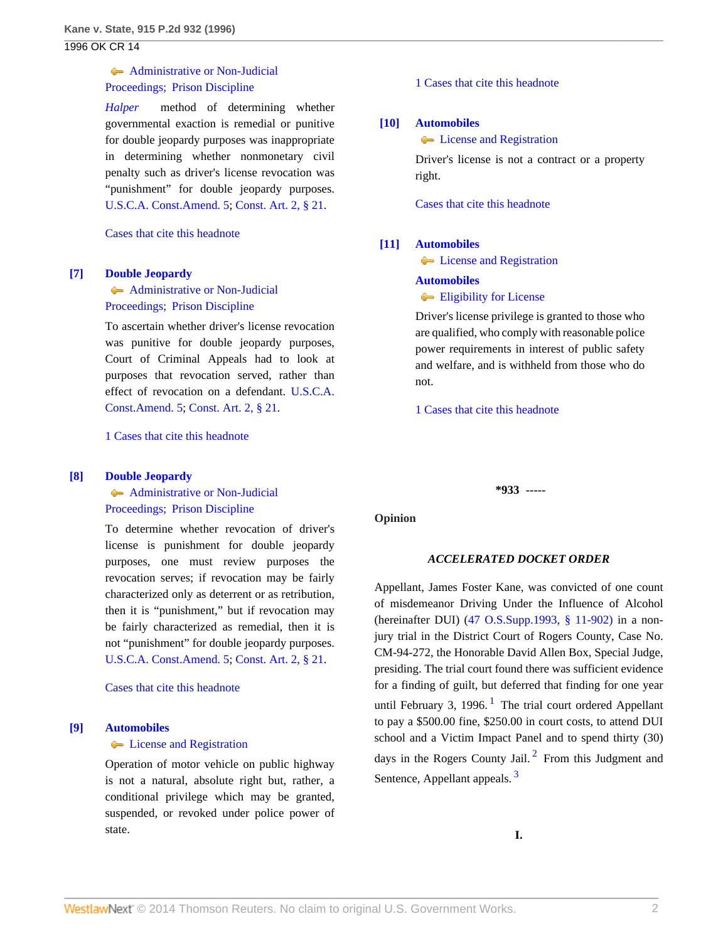# **[Administrative or Non-Judicial](http://www.westlaw.com/Browse/Home/KeyNumber/135Hk24/View.html?docGuid=I2f6135b3f57c11d9bf60c1d57ebc853e&originationContext=document&vr=3.0&rs=cblt1.0&transitionType=DocumentItem&contextData=(sc.Search))** [Proceedings; Prison Discipline](http://www.westlaw.com/Browse/Home/KeyNumber/135Hk24/View.html?docGuid=I2f6135b3f57c11d9bf60c1d57ebc853e&originationContext=document&vr=3.0&rs=cblt1.0&transitionType=DocumentItem&contextData=(sc.Search))

*[Halper](http://www.westlaw.com/Link/Document/FullText?findType=Y&serNum=1989072195&originationContext=document&vr=3.0&rs=cblt1.0&transitionType=DocumentItem&contextData=(sc.Search))* method of determining whether governmental exaction is remedial or punitive for double jeopardy purposes was inappropriate in determining whether nonmonetary civil penalty such as driver's license revocation was "punishment" for double jeopardy purposes. [U.S.C.A. Const.Amend. 5;](http://www.westlaw.com/Link/Document/FullText?findType=L&pubNum=1000546&cite=USCOAMENDV&originatingDoc=I2f6135b3f57c11d9bf60c1d57ebc853e&refType=LQ&originationContext=document&vr=3.0&rs=cblt1.0&transitionType=DocumentItem&contextData=(sc.Search)) [Const. Art. 2, § 21](http://www.westlaw.com/Link/Document/FullText?findType=L&pubNum=1000165&cite=OKCNART2S21&originatingDoc=I2f6135b3f57c11d9bf60c1d57ebc853e&refType=LQ&originationContext=document&vr=3.0&rs=cblt1.0&transitionType=DocumentItem&contextData=(sc.Search)).

[Cases that cite this headnote](http://www.westlaw.com/Link/RelatedInformation/DocHeadnoteLink?docGuid=I2f6135b3f57c11d9bf60c1d57ebc853e&headnoteId=199609333800620050118185437&originationContext=document&vr=3.0&rs=cblt1.0&transitionType=CitingReferences&contextData=(sc.Search))

#### <span id="page-1-0"></span>**[\[7\]](#page-4-1) [Double Jeopardy](http://www.westlaw.com/Browse/Home/KeyNumber/135H/View.html?docGuid=I2f6135b3f57c11d9bf60c1d57ebc853e&originationContext=document&vr=3.0&rs=cblt1.0&transitionType=DocumentItem&contextData=(sc.Search))**

**[Administrative or Non-Judicial](http://www.westlaw.com/Browse/Home/KeyNumber/135Hk24/View.html?docGuid=I2f6135b3f57c11d9bf60c1d57ebc853e&originationContext=document&vr=3.0&rs=cblt1.0&transitionType=DocumentItem&contextData=(sc.Search))** [Proceedings; Prison Discipline](http://www.westlaw.com/Browse/Home/KeyNumber/135Hk24/View.html?docGuid=I2f6135b3f57c11d9bf60c1d57ebc853e&originationContext=document&vr=3.0&rs=cblt1.0&transitionType=DocumentItem&contextData=(sc.Search))

To ascertain whether driver's license revocation was punitive for double jeopardy purposes, Court of Criminal Appeals had to look at purposes that revocation served, rather than effect of revocation on a defendant. [U.S.C.A.](http://www.westlaw.com/Link/Document/FullText?findType=L&pubNum=1000546&cite=USCOAMENDV&originatingDoc=I2f6135b3f57c11d9bf60c1d57ebc853e&refType=LQ&originationContext=document&vr=3.0&rs=cblt1.0&transitionType=DocumentItem&contextData=(sc.Search)) [Const.Amend. 5;](http://www.westlaw.com/Link/Document/FullText?findType=L&pubNum=1000546&cite=USCOAMENDV&originatingDoc=I2f6135b3f57c11d9bf60c1d57ebc853e&refType=LQ&originationContext=document&vr=3.0&rs=cblt1.0&transitionType=DocumentItem&contextData=(sc.Search)) [Const. Art. 2, § 21](http://www.westlaw.com/Link/Document/FullText?findType=L&pubNum=1000165&cite=OKCNART2S21&originatingDoc=I2f6135b3f57c11d9bf60c1d57ebc853e&refType=LQ&originationContext=document&vr=3.0&rs=cblt1.0&transitionType=DocumentItem&contextData=(sc.Search)).

[1 Cases that cite this headnote](http://www.westlaw.com/Link/RelatedInformation/DocHeadnoteLink?docGuid=I2f6135b3f57c11d9bf60c1d57ebc853e&headnoteId=199609333800720050118185437&originationContext=document&vr=3.0&rs=cblt1.0&transitionType=CitingReferences&contextData=(sc.Search))

#### <span id="page-1-1"></span>**[\[8\]](#page-4-2) [Double Jeopardy](http://www.westlaw.com/Browse/Home/KeyNumber/135H/View.html?docGuid=I2f6135b3f57c11d9bf60c1d57ebc853e&originationContext=document&vr=3.0&rs=cblt1.0&transitionType=DocumentItem&contextData=(sc.Search))**

**[Administrative or Non-Judicial](http://www.westlaw.com/Browse/Home/KeyNumber/135Hk24/View.html?docGuid=I2f6135b3f57c11d9bf60c1d57ebc853e&originationContext=document&vr=3.0&rs=cblt1.0&transitionType=DocumentItem&contextData=(sc.Search))** [Proceedings; Prison Discipline](http://www.westlaw.com/Browse/Home/KeyNumber/135Hk24/View.html?docGuid=I2f6135b3f57c11d9bf60c1d57ebc853e&originationContext=document&vr=3.0&rs=cblt1.0&transitionType=DocumentItem&contextData=(sc.Search))

To determine whether revocation of driver's license is punishment for double jeopardy purposes, one must review purposes the revocation serves; if revocation may be fairly characterized only as deterrent or as retribution, then it is "punishment," but if revocation may be fairly characterized as remedial, then it is not "punishment" for double jeopardy purposes. [U.S.C.A. Const.Amend. 5;](http://www.westlaw.com/Link/Document/FullText?findType=L&pubNum=1000546&cite=USCOAMENDV&originatingDoc=I2f6135b3f57c11d9bf60c1d57ebc853e&refType=LQ&originationContext=document&vr=3.0&rs=cblt1.0&transitionType=DocumentItem&contextData=(sc.Search)) [Const. Art. 2, § 21](http://www.westlaw.com/Link/Document/FullText?findType=L&pubNum=1000165&cite=OKCNART2S21&originatingDoc=I2f6135b3f57c11d9bf60c1d57ebc853e&refType=LQ&originationContext=document&vr=3.0&rs=cblt1.0&transitionType=DocumentItem&contextData=(sc.Search)).

[Cases that cite this headnote](http://www.westlaw.com/Link/RelatedInformation/DocHeadnoteLink?docGuid=I2f6135b3f57c11d9bf60c1d57ebc853e&headnoteId=199609333800820050118185437&originationContext=document&vr=3.0&rs=cblt1.0&transitionType=CitingReferences&contextData=(sc.Search))

### <span id="page-1-2"></span>**[\[9\]](#page-4-3) [Automobiles](http://www.westlaw.com/Browse/Home/KeyNumber/48A/View.html?docGuid=I2f6135b3f57c11d9bf60c1d57ebc853e&originationContext=document&vr=3.0&rs=cblt1.0&transitionType=DocumentItem&contextData=(sc.Search))**

# **Compared Exercise** and Registration

Operation of motor vehicle on public highway is not a natural, absolute right but, rather, a conditional privilege which may be granted, suspended, or revoked under police power of state.

[1 Cases that cite this headnote](http://www.westlaw.com/Link/RelatedInformation/DocHeadnoteLink?docGuid=I2f6135b3f57c11d9bf60c1d57ebc853e&headnoteId=199609333800920050118185437&originationContext=document&vr=3.0&rs=cblt1.0&transitionType=CitingReferences&contextData=(sc.Search))

#### <span id="page-1-3"></span>**[\[10\]](#page-4-4) [Automobiles](http://www.westlaw.com/Browse/Home/KeyNumber/48A/View.html?docGuid=I2f6135b3f57c11d9bf60c1d57ebc853e&originationContext=document&vr=3.0&rs=cblt1.0&transitionType=DocumentItem&contextData=(sc.Search))**

**Comparison** [License and Registration](http://www.westlaw.com/Browse/Home/KeyNumber/48Ak135/View.html?docGuid=I2f6135b3f57c11d9bf60c1d57ebc853e&originationContext=document&vr=3.0&rs=cblt1.0&transitionType=DocumentItem&contextData=(sc.Search))

Driver's license is not a contract or a property right.

[Cases that cite this headnote](http://www.westlaw.com/Link/RelatedInformation/DocHeadnoteLink?docGuid=I2f6135b3f57c11d9bf60c1d57ebc853e&headnoteId=199609333801020050118185437&originationContext=document&vr=3.0&rs=cblt1.0&transitionType=CitingReferences&contextData=(sc.Search))

#### <span id="page-1-4"></span>**[\[11\]](#page-4-5) [Automobiles](http://www.westlaw.com/Browse/Home/KeyNumber/48A/View.html?docGuid=I2f6135b3f57c11d9bf60c1d57ebc853e&originationContext=document&vr=3.0&rs=cblt1.0&transitionType=DocumentItem&contextData=(sc.Search))**

**Compared Exercise** and Registration

#### **[Automobiles](http://www.westlaw.com/Browse/Home/KeyNumber/48A/View.html?docGuid=I2f6135b3f57c11d9bf60c1d57ebc853e&originationContext=document&vr=3.0&rs=cblt1.0&transitionType=DocumentItem&contextData=(sc.Search))**

**[Eligibility for License](http://www.westlaw.com/Browse/Home/KeyNumber/48Ak138/View.html?docGuid=I2f6135b3f57c11d9bf60c1d57ebc853e&originationContext=document&vr=3.0&rs=cblt1.0&transitionType=DocumentItem&contextData=(sc.Search))** 

Driver's license privilege is granted to those who are qualified, who comply with reasonable police power requirements in interest of public safety and welfare, and is withheld from those who do not.

[1 Cases that cite this headnote](http://www.westlaw.com/Link/RelatedInformation/DocHeadnoteLink?docGuid=I2f6135b3f57c11d9bf60c1d57ebc853e&headnoteId=199609333801120050118185437&originationContext=document&vr=3.0&rs=cblt1.0&transitionType=CitingReferences&contextData=(sc.Search))

**\*933 -----**

**Opinion**

#### <span id="page-1-7"></span><span id="page-1-6"></span><span id="page-1-5"></span>*ACCELERATED DOCKET ORDER*

Appellant, James Foster Kane, was convicted of one count of misdemeanor Driving Under the Influence of Alcohol (hereinafter DUI) ([47 O.S.Supp.1993, § 11-902\)](http://www.westlaw.com/Link/Document/FullText?findType=L&pubNum=1000165&cite=OKSTT47S11-902&originatingDoc=I2f6135b3f57c11d9bf60c1d57ebc853e&refType=LQ&originationContext=document&vr=3.0&rs=cblt1.0&transitionType=DocumentItem&contextData=(sc.Search)) in a nonjury trial in the District Court of Rogers County, Case No. CM-94-272, the Honorable David Allen Box, Special Judge, presiding. The trial court found there was sufficient evidence for a finding of guilt, but deferred that finding for one year until February 3, [1](#page-5-0)996.<sup>1</sup> The trial court ordered Appellant to pay a \$500.00 fine, \$250.00 in court costs, to attend DUI school and a Victim Impact Panel and to spend thirty (30) days in the Rogers County Jail.<sup>[2](#page-5-1)</sup> From this Judgment and Sentence, Appellant appeals.<sup>[3](#page-5-2)</sup>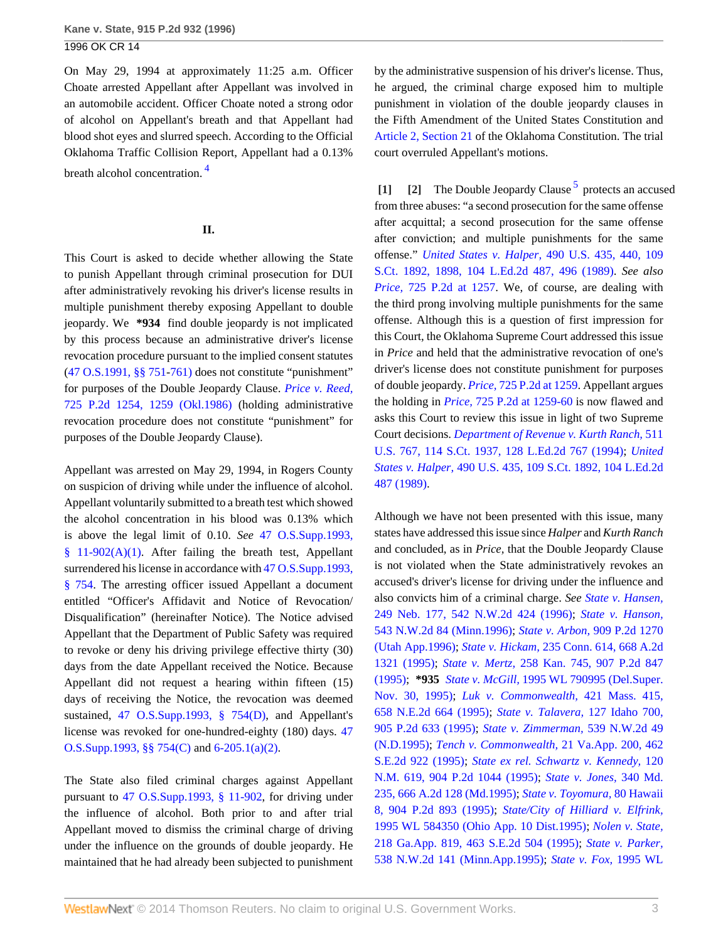On May 29, 1994 at approximately 11:25 a.m. Officer Choate arrested Appellant after Appellant was involved in an automobile accident. Officer Choate noted a strong odor of alcohol on Appellant's breath and that Appellant had blood shot eyes and slurred speech. According to the Official Oklahoma Traffic Collision Report, Appellant had a 0.13% breath alcohol concentration. [4](#page-5-3)

# <span id="page-2-2"></span>**II.**

This Court is asked to decide whether allowing the State to punish Appellant through criminal prosecution for DUI after administratively revoking his driver's license results in multiple punishment thereby exposing Appellant to double jeopardy. We **\*934** find double jeopardy is not implicated by this process because an administrative driver's license revocation procedure pursuant to the implied consent statutes [\(47 O.S.1991, §§ 751](http://www.westlaw.com/Link/Document/FullText?findType=L&pubNum=1000165&cite=OKSTT47S751&originatingDoc=I2f6135b3f57c11d9bf60c1d57ebc853e&refType=LQ&originationContext=document&vr=3.0&rs=cblt1.0&transitionType=DocumentItem&contextData=(sc.Search))[-761\)](http://www.westlaw.com/Link/Document/FullText?findType=L&pubNum=1000165&cite=OKSTT47S761&originatingDoc=I2f6135b3f57c11d9bf60c1d57ebc853e&refType=LQ&originationContext=document&vr=3.0&rs=cblt1.0&transitionType=DocumentItem&contextData=(sc.Search)) does not constitute "punishment" for purposes of the Double Jeopardy Clause. *[Price v. Reed,](http://www.westlaw.com/Link/Document/FullText?findType=Y&serNum=1986135885&pubNum=661&fi=co_pp_sp_661_1259&originationContext=document&vr=3.0&rs=cblt1.0&transitionType=DocumentItem&contextData=(sc.Search)#co_pp_sp_661_1259)* [725 P.2d 1254, 1259 \(Okl.1986\)](http://www.westlaw.com/Link/Document/FullText?findType=Y&serNum=1986135885&pubNum=661&fi=co_pp_sp_661_1259&originationContext=document&vr=3.0&rs=cblt1.0&transitionType=DocumentItem&contextData=(sc.Search)#co_pp_sp_661_1259) (holding administrative revocation procedure does not constitute "punishment" for purposes of the Double Jeopardy Clause).

Appellant was arrested on May 29, 1994, in Rogers County on suspicion of driving while under the influence of alcohol. Appellant voluntarily submitted to a breath test which showed the alcohol concentration in his blood was 0.13% which is above the legal limit of 0.10. *See* [47 O.S.Supp.1993,](http://www.westlaw.com/Link/Document/FullText?findType=L&pubNum=1000165&cite=OKSTT47S11-902&originatingDoc=I2f6135b3f57c11d9bf60c1d57ebc853e&refType=LQ&originationContext=document&vr=3.0&rs=cblt1.0&transitionType=DocumentItem&contextData=(sc.Search))  $§$  11-902(A)(1). After failing the breath test, Appellant surrendered his license in accordance with [47 O.S.Supp.1993,](http://www.westlaw.com/Link/Document/FullText?findType=L&pubNum=1000165&cite=OKSTT47S754&originatingDoc=I2f6135b3f57c11d9bf60c1d57ebc853e&refType=LQ&originationContext=document&vr=3.0&rs=cblt1.0&transitionType=DocumentItem&contextData=(sc.Search)) [§ 754](http://www.westlaw.com/Link/Document/FullText?findType=L&pubNum=1000165&cite=OKSTT47S754&originatingDoc=I2f6135b3f57c11d9bf60c1d57ebc853e&refType=LQ&originationContext=document&vr=3.0&rs=cblt1.0&transitionType=DocumentItem&contextData=(sc.Search)). The arresting officer issued Appellant a document entitled "Officer's Affidavit and Notice of Revocation/ Disqualification" (hereinafter Notice). The Notice advised Appellant that the Department of Public Safety was required to revoke or deny his driving privilege effective thirty (30) days from the date Appellant received the Notice. Because Appellant did not request a hearing within fifteen (15) days of receiving the Notice, the revocation was deemed sustained, [47 O.S.Supp.1993, § 754\(D\),](http://www.westlaw.com/Link/Document/FullText?findType=L&pubNum=1000165&cite=OKSTT47S754&originatingDoc=I2f6135b3f57c11d9bf60c1d57ebc853e&refType=LQ&originationContext=document&vr=3.0&rs=cblt1.0&transitionType=DocumentItem&contextData=(sc.Search)) and Appellant's license was revoked for one-hundred-eighty (180) days. [47](http://www.westlaw.com/Link/Document/FullText?findType=L&pubNum=1000165&cite=OKSTT47S754&originatingDoc=I2f6135b3f57c11d9bf60c1d57ebc853e&refType=LQ&originationContext=document&vr=3.0&rs=cblt1.0&transitionType=DocumentItem&contextData=(sc.Search)) [O.S.Supp.1993, §§ 754\(C\)](http://www.westlaw.com/Link/Document/FullText?findType=L&pubNum=1000165&cite=OKSTT47S754&originatingDoc=I2f6135b3f57c11d9bf60c1d57ebc853e&refType=LQ&originationContext=document&vr=3.0&rs=cblt1.0&transitionType=DocumentItem&contextData=(sc.Search)) and [6-205.1\(a\)\(2\).](http://www.westlaw.com/Link/Document/FullText?findType=L&pubNum=1000165&cite=OKSTT47S6-205.1&originatingDoc=I2f6135b3f57c11d9bf60c1d57ebc853e&refType=LQ&originationContext=document&vr=3.0&rs=cblt1.0&transitionType=DocumentItem&contextData=(sc.Search))

The State also filed criminal charges against Appellant pursuant to [47 O.S.Supp.1993, § 11-902,](http://www.westlaw.com/Link/Document/FullText?findType=L&pubNum=1000165&cite=OKSTT47S11-902&originatingDoc=I2f6135b3f57c11d9bf60c1d57ebc853e&refType=LQ&originationContext=document&vr=3.0&rs=cblt1.0&transitionType=DocumentItem&contextData=(sc.Search)) for driving under the influence of alcohol. Both prior to and after trial Appellant moved to dismiss the criminal charge of driving under the influence on the grounds of double jeopardy. He maintained that he had already been subjected to punishment by the administrative suspension of his driver's license. Thus, he argued, the criminal charge exposed him to multiple punishment in violation of the double jeopardy clauses in the Fifth Amendment of the United States Constitution and [Article 2, Section 21](http://www.westlaw.com/Link/Document/FullText?findType=L&pubNum=1000165&cite=OKCNART2S21&originatingDoc=I2f6135b3f57c11d9bf60c1d57ebc853e&refType=LQ&originationContext=document&vr=3.0&rs=cblt1.0&transitionType=DocumentItem&contextData=(sc.Search)) of the Oklahoma Constitution. The trial court overruled Appellant's motions.

<span id="page-2-3"></span><span id="page-2-1"></span><span id="page-2-0"></span>[\[1\]](#page-0-0) [\[2\]](#page-0-1) The Double Jeopardy Clause<sup>[5](#page-5-4)</sup> protects an accused from three abuses: "a second prosecution for the same offense after acquittal; a second prosecution for the same offense after conviction; and multiple punishments for the same offense." *United States v. Halper,* [490 U.S. 435, 440, 109](http://www.westlaw.com/Link/Document/FullText?findType=Y&serNum=1989072195&pubNum=708&fi=co_pp_sp_708_1898&originationContext=document&vr=3.0&rs=cblt1.0&transitionType=DocumentItem&contextData=(sc.Search)#co_pp_sp_708_1898) [S.Ct. 1892, 1898, 104 L.Ed.2d 487, 496 \(1989\)](http://www.westlaw.com/Link/Document/FullText?findType=Y&serNum=1989072195&pubNum=708&fi=co_pp_sp_708_1898&originationContext=document&vr=3.0&rs=cblt1.0&transitionType=DocumentItem&contextData=(sc.Search)#co_pp_sp_708_1898). *See also Price,* [725 P.2d at 1257.](http://www.westlaw.com/Link/Document/FullText?findType=Y&serNum=1986135885&pubNum=661&fi=co_pp_sp_661_1257&originationContext=document&vr=3.0&rs=cblt1.0&transitionType=DocumentItem&contextData=(sc.Search)#co_pp_sp_661_1257) We, of course, are dealing with the third prong involving multiple punishments for the same offense. Although this is a question of first impression for this Court, the Oklahoma Supreme Court addressed this issue in *Price* and held that the administrative revocation of one's driver's license does not constitute punishment for purposes of double jeopardy. *Price,* [725 P.2d at 1259](http://www.westlaw.com/Link/Document/FullText?findType=Y&serNum=1986135885&pubNum=661&fi=co_pp_sp_661_1259&originationContext=document&vr=3.0&rs=cblt1.0&transitionType=DocumentItem&contextData=(sc.Search)#co_pp_sp_661_1259). Appellant argues the holding in *Price,* [725 P.2d at 1259-60](http://www.westlaw.com/Link/Document/FullText?findType=Y&serNum=1986135885&pubNum=661&fi=co_pp_sp_661_1259&originationContext=document&vr=3.0&rs=cblt1.0&transitionType=DocumentItem&contextData=(sc.Search)#co_pp_sp_661_1259) is now flawed and asks this Court to review this issue in light of two Supreme Court decisions. *[Department of Revenue v. Kurth Ranch,](http://www.westlaw.com/Link/Document/FullText?findType=Y&serNum=1994122595&pubNum=708&originationContext=document&vr=3.0&rs=cblt1.0&transitionType=DocumentItem&contextData=(sc.Search))* 511 [U.S. 767, 114 S.Ct. 1937, 128 L.Ed.2d 767 \(1994\);](http://www.westlaw.com/Link/Document/FullText?findType=Y&serNum=1994122595&pubNum=708&originationContext=document&vr=3.0&rs=cblt1.0&transitionType=DocumentItem&contextData=(sc.Search)) *[United](http://www.westlaw.com/Link/Document/FullText?findType=Y&serNum=1989072195&pubNum=708&originationContext=document&vr=3.0&rs=cblt1.0&transitionType=DocumentItem&contextData=(sc.Search)) States v. Halper,* [490 U.S. 435, 109 S.Ct. 1892, 104 L.Ed.2d](http://www.westlaw.com/Link/Document/FullText?findType=Y&serNum=1989072195&pubNum=708&originationContext=document&vr=3.0&rs=cblt1.0&transitionType=DocumentItem&contextData=(sc.Search)) [487 \(1989\)](http://www.westlaw.com/Link/Document/FullText?findType=Y&serNum=1989072195&pubNum=708&originationContext=document&vr=3.0&rs=cblt1.0&transitionType=DocumentItem&contextData=(sc.Search)).

Although we have not been presented with this issue, many states have addressed this issue since *Halper* and *Kurth Ranch* and concluded, as in *Price,* that the Double Jeopardy Clause is not violated when the State administratively revokes an accused's driver's license for driving under the influence and also convicts him of a criminal charge. *See [State v. Hansen,](http://www.westlaw.com/Link/Document/FullText?findType=Y&serNum=1996038599&pubNum=595&originationContext=document&vr=3.0&rs=cblt1.0&transitionType=DocumentItem&contextData=(sc.Search))* [249 Neb. 177, 542 N.W.2d 424 \(1996\)](http://www.westlaw.com/Link/Document/FullText?findType=Y&serNum=1996038599&pubNum=595&originationContext=document&vr=3.0&rs=cblt1.0&transitionType=DocumentItem&contextData=(sc.Search)); *[State v. Hanson,](http://www.westlaw.com/Link/Document/FullText?findType=Y&serNum=1996033293&pubNum=595&originationContext=document&vr=3.0&rs=cblt1.0&transitionType=DocumentItem&contextData=(sc.Search))* [543 N.W.2d 84 \(Minn.1996\);](http://www.westlaw.com/Link/Document/FullText?findType=Y&serNum=1996033293&pubNum=595&originationContext=document&vr=3.0&rs=cblt1.0&transitionType=DocumentItem&contextData=(sc.Search)) *State v. Arbon,* [909 P.2d 1270](http://www.westlaw.com/Link/Document/FullText?findType=Y&serNum=1996026624&pubNum=661&originationContext=document&vr=3.0&rs=cblt1.0&transitionType=DocumentItem&contextData=(sc.Search)) [\(Utah App.1996\)](http://www.westlaw.com/Link/Document/FullText?findType=Y&serNum=1996026624&pubNum=661&originationContext=document&vr=3.0&rs=cblt1.0&transitionType=DocumentItem&contextData=(sc.Search)); *State v. Hickam,* [235 Conn. 614, 668 A.2d](http://www.westlaw.com/Link/Document/FullText?findType=Y&serNum=1995250760&pubNum=162&originationContext=document&vr=3.0&rs=cblt1.0&transitionType=DocumentItem&contextData=(sc.Search)) [1321 \(1995\);](http://www.westlaw.com/Link/Document/FullText?findType=Y&serNum=1995250760&pubNum=162&originationContext=document&vr=3.0&rs=cblt1.0&transitionType=DocumentItem&contextData=(sc.Search)) *State v. Mertz,* [258 Kan. 745, 907 P.2d 847](http://www.westlaw.com/Link/Document/FullText?findType=Y&serNum=1995241363&pubNum=661&originationContext=document&vr=3.0&rs=cblt1.0&transitionType=DocumentItem&contextData=(sc.Search)) [\(1995\);](http://www.westlaw.com/Link/Document/FullText?findType=Y&serNum=1995241363&pubNum=661&originationContext=document&vr=3.0&rs=cblt1.0&transitionType=DocumentItem&contextData=(sc.Search)) **\*935** *State v. McGill,* [1995 WL 790995 \(Del.Super.](http://www.westlaw.com/Link/Document/FullText?findType=Y&serNum=1996038861&pubNum=0000999&originationContext=document&vr=3.0&rs=cblt1.0&transitionType=DocumentItem&contextData=(sc.Search)) [Nov. 30, 1995\);](http://www.westlaw.com/Link/Document/FullText?findType=Y&serNum=1996038861&pubNum=0000999&originationContext=document&vr=3.0&rs=cblt1.0&transitionType=DocumentItem&contextData=(sc.Search)) *[Luk v. Commonwealth,](http://www.westlaw.com/Link/Document/FullText?findType=Y&serNum=1995236982&pubNum=578&originationContext=document&vr=3.0&rs=cblt1.0&transitionType=DocumentItem&contextData=(sc.Search))* 421 Mass. 415, [658 N.E.2d 664 \(1995\)](http://www.westlaw.com/Link/Document/FullText?findType=Y&serNum=1995236982&pubNum=578&originationContext=document&vr=3.0&rs=cblt1.0&transitionType=DocumentItem&contextData=(sc.Search)); *[State v. Talavera,](http://www.westlaw.com/Link/Document/FullText?findType=Y&serNum=1995221598&pubNum=661&originationContext=document&vr=3.0&rs=cblt1.0&transitionType=DocumentItem&contextData=(sc.Search))* 127 Idaho 700, [905 P.2d 633 \(1995\)](http://www.westlaw.com/Link/Document/FullText?findType=Y&serNum=1995221598&pubNum=661&originationContext=document&vr=3.0&rs=cblt1.0&transitionType=DocumentItem&contextData=(sc.Search)); *[State v. Zimmerman,](http://www.westlaw.com/Link/Document/FullText?findType=Y&serNum=1995218577&pubNum=595&originationContext=document&vr=3.0&rs=cblt1.0&transitionType=DocumentItem&contextData=(sc.Search))* 539 N.W.2d 49 [\(N.D.1995\)](http://www.westlaw.com/Link/Document/FullText?findType=Y&serNum=1995218577&pubNum=595&originationContext=document&vr=3.0&rs=cblt1.0&transitionType=DocumentItem&contextData=(sc.Search)); *[Tench v. Commonwealth,](http://www.westlaw.com/Link/Document/FullText?findType=Y&serNum=1995212300&pubNum=711&originationContext=document&vr=3.0&rs=cblt1.0&transitionType=DocumentItem&contextData=(sc.Search))* 21 Va.App. 200, 462 [S.E.2d 922 \(1995\);](http://www.westlaw.com/Link/Document/FullText?findType=Y&serNum=1995212300&pubNum=711&originationContext=document&vr=3.0&rs=cblt1.0&transitionType=DocumentItem&contextData=(sc.Search)) *[State ex rel. Schwartz v. Kennedy,](http://www.westlaw.com/Link/Document/FullText?findType=Y&serNum=1995214787&pubNum=661&originationContext=document&vr=3.0&rs=cblt1.0&transitionType=DocumentItem&contextData=(sc.Search))* 120 [N.M. 619, 904 P.2d 1044 \(1995\)](http://www.westlaw.com/Link/Document/FullText?findType=Y&serNum=1995214787&pubNum=661&originationContext=document&vr=3.0&rs=cblt1.0&transitionType=DocumentItem&contextData=(sc.Search)); *[State v. Jones,](http://www.westlaw.com/Link/Document/FullText?findType=Y&serNum=1995207966&pubNum=162&originationContext=document&vr=3.0&rs=cblt1.0&transitionType=DocumentItem&contextData=(sc.Search))* 340 Md. [235, 666 A.2d 128 \(Md.1995\)](http://www.westlaw.com/Link/Document/FullText?findType=Y&serNum=1995207966&pubNum=162&originationContext=document&vr=3.0&rs=cblt1.0&transitionType=DocumentItem&contextData=(sc.Search)); *[State v. Toyomura,](http://www.westlaw.com/Link/Document/FullText?findType=Y&serNum=1995203013&pubNum=661&originationContext=document&vr=3.0&rs=cblt1.0&transitionType=DocumentItem&contextData=(sc.Search))* 80 Hawaii [8, 904 P.2d 893 \(1995\);](http://www.westlaw.com/Link/Document/FullText?findType=Y&serNum=1995203013&pubNum=661&originationContext=document&vr=3.0&rs=cblt1.0&transitionType=DocumentItem&contextData=(sc.Search)) *[State/City of Hilliard v. Elfrink,](http://www.westlaw.com/Link/Document/FullText?findType=Y&serNum=1995200309&pubNum=0000999&originationContext=document&vr=3.0&rs=cblt1.0&transitionType=DocumentItem&contextData=(sc.Search))* [1995 WL 584350 \(Ohio App. 10 Dist.1995\)](http://www.westlaw.com/Link/Document/FullText?findType=Y&serNum=1995200309&pubNum=0000999&originationContext=document&vr=3.0&rs=cblt1.0&transitionType=DocumentItem&contextData=(sc.Search)); *[Nolen v. State,](http://www.westlaw.com/Link/Document/FullText?findType=Y&serNum=1995197260&pubNum=711&originationContext=document&vr=3.0&rs=cblt1.0&transitionType=DocumentItem&contextData=(sc.Search))* [218 Ga.App. 819, 463 S.E.2d 504 \(1995\);](http://www.westlaw.com/Link/Document/FullText?findType=Y&serNum=1995197260&pubNum=711&originationContext=document&vr=3.0&rs=cblt1.0&transitionType=DocumentItem&contextData=(sc.Search)) *[State v. Parker,](http://www.westlaw.com/Link/Document/FullText?findType=Y&serNum=1995193472&pubNum=595&originationContext=document&vr=3.0&rs=cblt1.0&transitionType=DocumentItem&contextData=(sc.Search))* [538 N.W.2d 141 \(Minn.App.1995\);](http://www.westlaw.com/Link/Document/FullText?findType=Y&serNum=1995193472&pubNum=595&originationContext=document&vr=3.0&rs=cblt1.0&transitionType=DocumentItem&contextData=(sc.Search)) *[State v. Fox,](http://www.westlaw.com/Link/Document/FullText?findType=Y&serNum=1995191783&pubNum=0000999&originationContext=document&vr=3.0&rs=cblt1.0&transitionType=DocumentItem&contextData=(sc.Search))* 1995 WL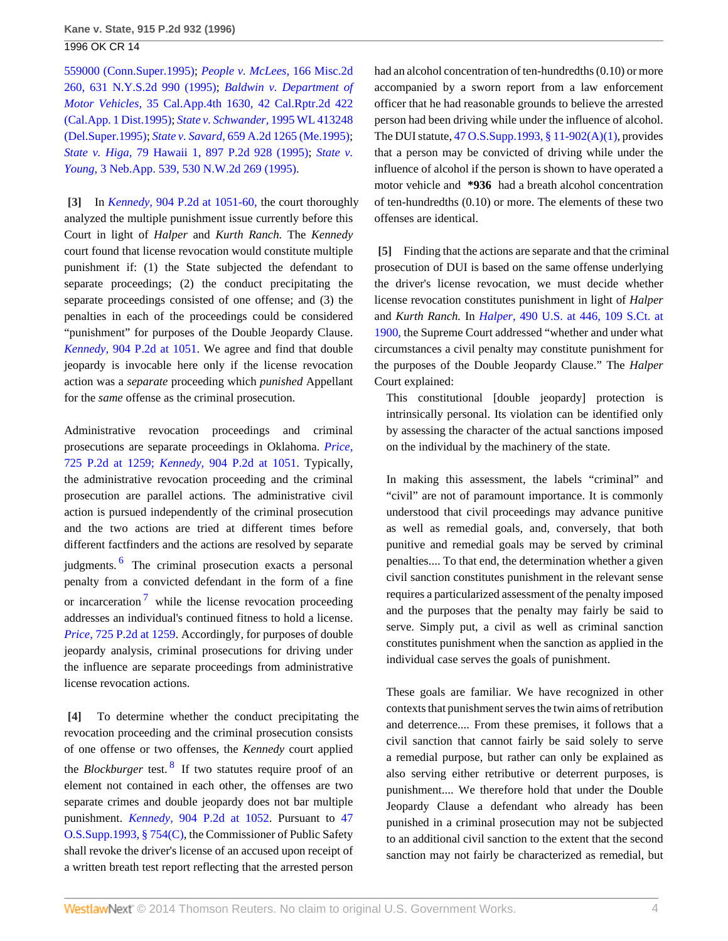[559000 \(Conn.Super.1995\);](http://www.westlaw.com/Link/Document/FullText?findType=Y&serNum=1995191783&pubNum=0000999&originationContext=document&vr=3.0&rs=cblt1.0&transitionType=DocumentItem&contextData=(sc.Search)) *[People v. McLees,](http://www.westlaw.com/Link/Document/FullText?findType=Y&serNum=1995180680&pubNum=602&originationContext=document&vr=3.0&rs=cblt1.0&transitionType=DocumentItem&contextData=(sc.Search))* 166 Misc.2d [260, 631 N.Y.S.2d 990 \(1995\)](http://www.westlaw.com/Link/Document/FullText?findType=Y&serNum=1995180680&pubNum=602&originationContext=document&vr=3.0&rs=cblt1.0&transitionType=DocumentItem&contextData=(sc.Search)); *[Baldwin v. Department of](http://www.westlaw.com/Link/Document/FullText?findType=Y&serNum=1995134841&pubNum=3484&originationContext=document&vr=3.0&rs=cblt1.0&transitionType=DocumentItem&contextData=(sc.Search)) Motor Vehicles,* [35 Cal.App.4th 1630, 42 Cal.Rptr.2d 422](http://www.westlaw.com/Link/Document/FullText?findType=Y&serNum=1995134841&pubNum=3484&originationContext=document&vr=3.0&rs=cblt1.0&transitionType=DocumentItem&contextData=(sc.Search)) [\(Cal.App. 1 Dist.1995\)](http://www.westlaw.com/Link/Document/FullText?findType=Y&serNum=1995134841&pubNum=3484&originationContext=document&vr=3.0&rs=cblt1.0&transitionType=DocumentItem&contextData=(sc.Search)); *[State v. Schwander,](http://www.westlaw.com/Link/Document/FullText?findType=Y&serNum=1995148448&pubNum=0000999&originationContext=document&vr=3.0&rs=cblt1.0&transitionType=DocumentItem&contextData=(sc.Search))* 1995 WL 413248 [\(Del.Super.1995\)](http://www.westlaw.com/Link/Document/FullText?findType=Y&serNum=1995148448&pubNum=0000999&originationContext=document&vr=3.0&rs=cblt1.0&transitionType=DocumentItem&contextData=(sc.Search)); *State v. Savard,* [659 A.2d 1265 \(Me.1995\)](http://www.westlaw.com/Link/Document/FullText?findType=Y&serNum=1995128378&pubNum=162&originationContext=document&vr=3.0&rs=cblt1.0&transitionType=DocumentItem&contextData=(sc.Search)); *State v. Higa,* [79 Hawaii 1, 897 P.2d 928 \(1995\);](http://www.westlaw.com/Link/Document/FullText?findType=Y&serNum=1995110299&pubNum=661&originationContext=document&vr=3.0&rs=cblt1.0&transitionType=DocumentItem&contextData=(sc.Search)) *[State v.](http://www.westlaw.com/Link/Document/FullText?findType=Y&serNum=1995064179&pubNum=595&originationContext=document&vr=3.0&rs=cblt1.0&transitionType=DocumentItem&contextData=(sc.Search)) Young,* [3 Neb.App. 539, 530 N.W.2d 269 \(1995\)](http://www.westlaw.com/Link/Document/FullText?findType=Y&serNum=1995064179&pubNum=595&originationContext=document&vr=3.0&rs=cblt1.0&transitionType=DocumentItem&contextData=(sc.Search)).

<span id="page-3-0"></span>**[\[3\]](#page-0-2)** In *Kennedy,* [904 P.2d at 1051-60,](http://www.westlaw.com/Link/Document/FullText?findType=Y&serNum=1995214787&pubNum=661&fi=co_pp_sp_661_1051&originationContext=document&vr=3.0&rs=cblt1.0&transitionType=DocumentItem&contextData=(sc.Search)#co_pp_sp_661_1051) the court thoroughly analyzed the multiple punishment issue currently before this Court in light of *Halper* and *Kurth Ranch.* The *Kennedy* court found that license revocation would constitute multiple punishment if: (1) the State subjected the defendant to separate proceedings; (2) the conduct precipitating the separate proceedings consisted of one offense; and (3) the penalties in each of the proceedings could be considered "punishment" for purposes of the Double Jeopardy Clause. *Kennedy,* [904 P.2d at 1051.](http://www.westlaw.com/Link/Document/FullText?findType=Y&serNum=1995214787&pubNum=661&fi=co_pp_sp_661_1051&originationContext=document&vr=3.0&rs=cblt1.0&transitionType=DocumentItem&contextData=(sc.Search)#co_pp_sp_661_1051) We agree and find that double jeopardy is invocable here only if the license revocation action was a *separate* proceeding which *punished* Appellant for the *same* offense as the criminal prosecution.

<span id="page-3-3"></span>Administrative revocation proceedings and criminal prosecutions are separate proceedings in Oklahoma. *[Price,](http://www.westlaw.com/Link/Document/FullText?findType=Y&serNum=1986135885&pubNum=661&fi=co_pp_sp_661_1259&originationContext=document&vr=3.0&rs=cblt1.0&transitionType=DocumentItem&contextData=(sc.Search)#co_pp_sp_661_1259)* [725 P.2d at 1259;](http://www.westlaw.com/Link/Document/FullText?findType=Y&serNum=1986135885&pubNum=661&fi=co_pp_sp_661_1259&originationContext=document&vr=3.0&rs=cblt1.0&transitionType=DocumentItem&contextData=(sc.Search)#co_pp_sp_661_1259) *Kennedy,* [904 P.2d at 1051](http://www.westlaw.com/Link/Document/FullText?findType=Y&serNum=1995214787&pubNum=661&fi=co_pp_sp_661_1051&originationContext=document&vr=3.0&rs=cblt1.0&transitionType=DocumentItem&contextData=(sc.Search)#co_pp_sp_661_1051). Typically, the administrative revocation proceeding and the criminal prosecution are parallel actions. The administrative civil action is pursued independently of the criminal prosecution and the two actions are tried at different times before different factfinders and the actions are resolved by separate judgments.<sup>[6](#page-5-5)</sup> The criminal prosecution exacts a personal penalty from a convicted defendant in the form of a fine or incarceration<sup>[7](#page-5-6)</sup> while the license revocation proceeding addresses an individual's continued fitness to hold a license. *Price,* [725 P.2d at 1259.](http://www.westlaw.com/Link/Document/FullText?findType=Y&serNum=1986135885&pubNum=661&fi=co_pp_sp_661_1259&originationContext=document&vr=3.0&rs=cblt1.0&transitionType=DocumentItem&contextData=(sc.Search)#co_pp_sp_661_1259) Accordingly, for purposes of double jeopardy analysis, criminal prosecutions for driving under the influence are separate proceedings from administrative license revocation actions.

<span id="page-3-5"></span><span id="page-3-4"></span><span id="page-3-1"></span>**[\[4\]](#page-0-3)** To determine whether the conduct precipitating the revocation proceeding and the criminal prosecution consists of one offense or two offenses, the *Kennedy* court applied the *Blockburger* test. [8](#page-5-7) If two statutes require proof of an element not contained in each other, the offenses are two separate crimes and double jeopardy does not bar multiple punishment. *Kennedy,* [904 P.2d at 1052](http://www.westlaw.com/Link/Document/FullText?findType=Y&serNum=1995214787&pubNum=661&fi=co_pp_sp_661_1052&originationContext=document&vr=3.0&rs=cblt1.0&transitionType=DocumentItem&contextData=(sc.Search)#co_pp_sp_661_1052). Pursuant to [47](http://www.westlaw.com/Link/Document/FullText?findType=L&pubNum=1000165&cite=OKSTT47S754&originatingDoc=I2f6135b3f57c11d9bf60c1d57ebc853e&refType=LQ&originationContext=document&vr=3.0&rs=cblt1.0&transitionType=DocumentItem&contextData=(sc.Search)) [O.S.Supp.1993, § 754\(C\),](http://www.westlaw.com/Link/Document/FullText?findType=L&pubNum=1000165&cite=OKSTT47S754&originatingDoc=I2f6135b3f57c11d9bf60c1d57ebc853e&refType=LQ&originationContext=document&vr=3.0&rs=cblt1.0&transitionType=DocumentItem&contextData=(sc.Search)) the Commissioner of Public Safety shall revoke the driver's license of an accused upon receipt of a written breath test report reflecting that the arrested person

had an alcohol concentration of ten-hundredths (0.10) or more accompanied by a sworn report from a law enforcement officer that he had reasonable grounds to believe the arrested person had been driving while under the influence of alcohol. The DUI statute, [47 O.S.Supp.1993, § 11-902\(A\)\(1\)](http://www.westlaw.com/Link/Document/FullText?findType=L&pubNum=1000165&cite=OKSTT47S11-902&originatingDoc=I2f6135b3f57c11d9bf60c1d57ebc853e&refType=LQ&originationContext=document&vr=3.0&rs=cblt1.0&transitionType=DocumentItem&contextData=(sc.Search)), provides that a person may be convicted of driving while under the influence of alcohol if the person is shown to have operated a motor vehicle and **\*936** had a breath alcohol concentration of ten-hundredths (0.10) or more. The elements of these two offenses are identical.

<span id="page-3-2"></span>**[\[5\]](#page-0-4)** Finding that the actions are separate and that the criminal prosecution of DUI is based on the same offense underlying the driver's license revocation, we must decide whether license revocation constitutes punishment in light of *Halper* and *Kurth Ranch.* In *Halper,* [490 U.S. at 446, 109 S.Ct. at](http://www.westlaw.com/Link/Document/FullText?findType=Y&serNum=1989072195&pubNum=708&fi=co_pp_sp_708_1900&originationContext=document&vr=3.0&rs=cblt1.0&transitionType=DocumentItem&contextData=(sc.Search)#co_pp_sp_708_1900) [1900,](http://www.westlaw.com/Link/Document/FullText?findType=Y&serNum=1989072195&pubNum=708&fi=co_pp_sp_708_1900&originationContext=document&vr=3.0&rs=cblt1.0&transitionType=DocumentItem&contextData=(sc.Search)#co_pp_sp_708_1900) the Supreme Court addressed "whether and under what circumstances a civil penalty may constitute punishment for the purposes of the Double Jeopardy Clause." The *Halper* Court explained:

This constitutional [double jeopardy] protection is intrinsically personal. Its violation can be identified only by assessing the character of the actual sanctions imposed on the individual by the machinery of the state.

In making this assessment, the labels "criminal" and "civil" are not of paramount importance. It is commonly understood that civil proceedings may advance punitive as well as remedial goals, and, conversely, that both punitive and remedial goals may be served by criminal penalties.... To that end, the determination whether a given civil sanction constitutes punishment in the relevant sense requires a particularized assessment of the penalty imposed and the purposes that the penalty may fairly be said to serve. Simply put, a civil as well as criminal sanction constitutes punishment when the sanction as applied in the individual case serves the goals of punishment.

These goals are familiar. We have recognized in other contexts that punishment serves the twin aims of retribution and deterrence.... From these premises, it follows that a civil sanction that cannot fairly be said solely to serve a remedial purpose, but rather can only be explained as also serving either retributive or deterrent purposes, is punishment.... We therefore hold that under the Double Jeopardy Clause a defendant who already has been punished in a criminal prosecution may not be subjected to an additional civil sanction to the extent that the second sanction may not fairly be characterized as remedial, but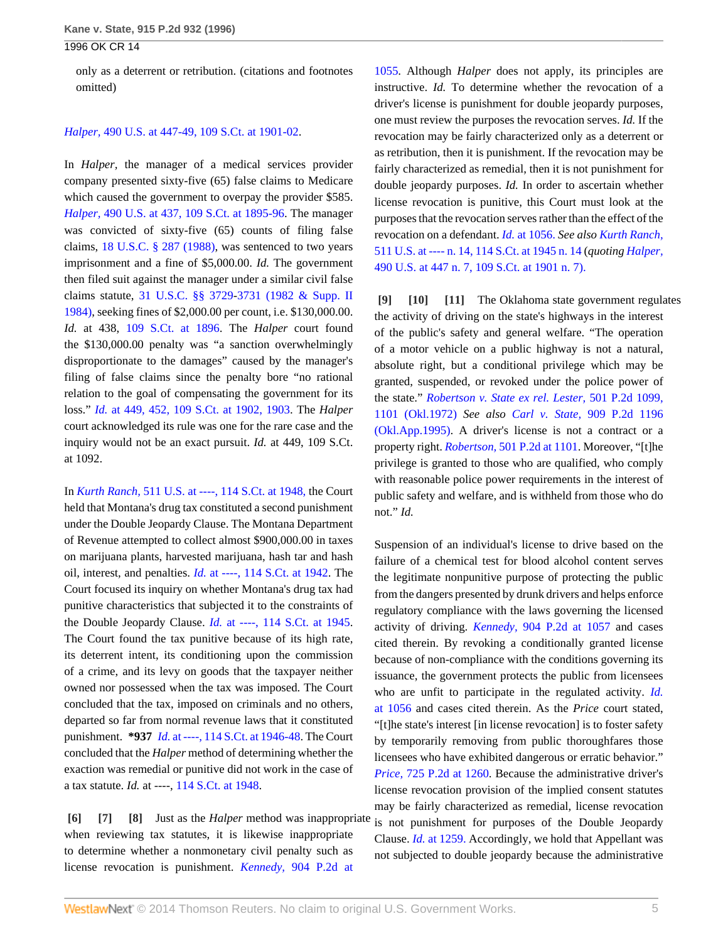only as a deterrent or retribution. (citations and footnotes omitted)

#### *Halper,* [490 U.S. at 447-49, 109 S.Ct. at 1901-02](http://www.westlaw.com/Link/Document/FullText?findType=Y&serNum=1989072195&pubNum=708&fi=co_pp_sp_708_1901&originationContext=document&vr=3.0&rs=cblt1.0&transitionType=DocumentItem&contextData=(sc.Search)#co_pp_sp_708_1901).

In *Halper,* the manager of a medical services provider company presented sixty-five (65) false claims to Medicare which caused the government to overpay the provider \$585. *Halper,* [490 U.S. at 437, 109 S.Ct. at 1895-96](http://www.westlaw.com/Link/Document/FullText?findType=Y&serNum=1989072195&pubNum=708&fi=co_pp_sp_708_1895&originationContext=document&vr=3.0&rs=cblt1.0&transitionType=DocumentItem&contextData=(sc.Search)#co_pp_sp_708_1895). The manager was convicted of sixty-five (65) counts of filing false claims, [18 U.S.C. § 287 \(1988\),](http://www.westlaw.com/Link/Document/FullText?findType=L&pubNum=1000546&cite=18USCAS287&originatingDoc=I2f6135b3f57c11d9bf60c1d57ebc853e&refType=LQ&originationContext=document&vr=3.0&rs=cblt1.0&transitionType=DocumentItem&contextData=(sc.Search)) was sentenced to two years imprisonment and a fine of \$5,000.00. *Id.* The government then filed suit against the manager under a similar civil false claims statute, [31 U.S.C. §§ 3729](http://www.westlaw.com/Link/Document/FullText?findType=L&pubNum=1000546&cite=31USCAS3729&originatingDoc=I2f6135b3f57c11d9bf60c1d57ebc853e&refType=LQ&originationContext=document&vr=3.0&rs=cblt1.0&transitionType=DocumentItem&contextData=(sc.Search))-[3731 \(1982 & Supp. II](http://www.westlaw.com/Link/Document/FullText?findType=L&pubNum=1000546&cite=31USCAS3731&originatingDoc=I2f6135b3f57c11d9bf60c1d57ebc853e&refType=LQ&originationContext=document&vr=3.0&rs=cblt1.0&transitionType=DocumentItem&contextData=(sc.Search)) [1984\)](http://www.westlaw.com/Link/Document/FullText?findType=L&pubNum=1000546&cite=31USCAS3731&originatingDoc=I2f6135b3f57c11d9bf60c1d57ebc853e&refType=LQ&originationContext=document&vr=3.0&rs=cblt1.0&transitionType=DocumentItem&contextData=(sc.Search)), seeking fines of \$2,000.00 per count, i.e. \$130,000.00. *Id.* at 438, [109 S.Ct. at 1896.](http://www.westlaw.com/Link/Document/FullText?findType=Y&serNum=1989072195&pubNum=708&fi=co_pp_sp_708_1896&originationContext=document&vr=3.0&rs=cblt1.0&transitionType=DocumentItem&contextData=(sc.Search)#co_pp_sp_708_1896) The *Halper* court found the \$130,000.00 penalty was "a sanction overwhelmingly disproportionate to the damages" caused by the manager's filing of false claims since the penalty bore "no rational relation to the goal of compensating the government for its loss." *Id.* [at 449, 452, 109 S.Ct. at 1902, 1903](http://www.westlaw.com/Link/Document/FullText?findType=Y&serNum=1989072195&pubNum=708&fi=co_pp_sp_708_1902&originationContext=document&vr=3.0&rs=cblt1.0&transitionType=DocumentItem&contextData=(sc.Search)#co_pp_sp_708_1902). The *Halper* court acknowledged its rule was one for the rare case and the inquiry would not be an exact pursuit. *Id.* at 449, 109 S.Ct. at 1092.

In *Kurth Ranch,* [511 U.S. at ----, 114 S.Ct. at 1948,](http://www.westlaw.com/Link/Document/FullText?findType=Y&serNum=1994122595&pubNum=708&fi=co_pp_sp_708_1948&originationContext=document&vr=3.0&rs=cblt1.0&transitionType=DocumentItem&contextData=(sc.Search)#co_pp_sp_708_1948) the Court held that Montana's drug tax constituted a second punishment under the Double Jeopardy Clause. The Montana Department of Revenue attempted to collect almost \$900,000.00 in taxes on marijuana plants, harvested marijuana, hash tar and hash oil, interest, and penalties. *Id.* [at ----, 114 S.Ct. at 1942](http://www.westlaw.com/Link/Document/FullText?findType=Y&serNum=1994122595&pubNum=708&fi=co_pp_sp_708_1942&originationContext=document&vr=3.0&rs=cblt1.0&transitionType=DocumentItem&contextData=(sc.Search)#co_pp_sp_708_1942). The Court focused its inquiry on whether Montana's drug tax had punitive characteristics that subjected it to the constraints of the Double Jeopardy Clause. *Id.* [at ----, 114 S.Ct. at 1945](http://www.westlaw.com/Link/Document/FullText?findType=Y&serNum=1994122595&pubNum=708&fi=co_pp_sp_708_1945&originationContext=document&vr=3.0&rs=cblt1.0&transitionType=DocumentItem&contextData=(sc.Search)#co_pp_sp_708_1945). The Court found the tax punitive because of its high rate, its deterrent intent, its conditioning upon the commission of a crime, and its levy on goods that the taxpayer neither owned nor possessed when the tax was imposed. The Court concluded that the tax, imposed on criminals and no others, departed so far from normal revenue laws that it constituted punishment. **\*937** *Id.* [at ----, 114 S.Ct. at 1946-48.](http://www.westlaw.com/Link/Document/FullText?findType=Y&serNum=1994122595&pubNum=708&fi=co_pp_sp_708_1946&originationContext=document&vr=3.0&rs=cblt1.0&transitionType=DocumentItem&contextData=(sc.Search)#co_pp_sp_708_1946) The Court concluded that the *Halper* method of determining whether the exaction was remedial or punitive did not work in the case of a tax statute. *Id.* at ----, [114 S.Ct. at 1948.](http://www.westlaw.com/Link/Document/FullText?findType=Y&serNum=1994122595&pubNum=708&fi=co_pp_sp_708_1948&originationContext=document&vr=3.0&rs=cblt1.0&transitionType=DocumentItem&contextData=(sc.Search)#co_pp_sp_708_1948)

<span id="page-4-2"></span><span id="page-4-1"></span><span id="page-4-0"></span>**[\[6\]](#page-0-5) [\[7\]](#page-1-0) [\[8\]](#page-1-1)** Just as the *Halper* method was inappropriate when reviewing tax statutes, it is likewise inappropriate to determine whether a nonmonetary civil penalty such as license revocation is punishment. *Kennedy,* [904 P.2d at](http://www.westlaw.com/Link/Document/FullText?findType=Y&serNum=1995214787&pubNum=661&fi=co_pp_sp_661_1055&originationContext=document&vr=3.0&rs=cblt1.0&transitionType=DocumentItem&contextData=(sc.Search)#co_pp_sp_661_1055)

[1055](http://www.westlaw.com/Link/Document/FullText?findType=Y&serNum=1995214787&pubNum=661&fi=co_pp_sp_661_1055&originationContext=document&vr=3.0&rs=cblt1.0&transitionType=DocumentItem&contextData=(sc.Search)#co_pp_sp_661_1055). Although *Halper* does not apply, its principles are instructive. *Id.* To determine whether the revocation of a driver's license is punishment for double jeopardy purposes, one must review the purposes the revocation serves. *Id.* If the revocation may be fairly characterized only as a deterrent or as retribution, then it is punishment. If the revocation may be fairly characterized as remedial, then it is not punishment for double jeopardy purposes. *Id.* In order to ascertain whether license revocation is punitive, this Court must look at the purposes that the revocation serves rather than the effect of the revocation on a defendant. *Id.* [at 1056.](http://www.westlaw.com/Link/Document/FullText?findType=Y&serNum=1995214787&originationContext=document&vr=3.0&rs=cblt1.0&transitionType=DocumentItem&contextData=(sc.Search)) *See also [Kurth Ranch,](http://www.westlaw.com/Link/Document/FullText?findType=Y&serNum=1994122595&pubNum=708&fi=co_pp_sp_708_1945&originationContext=document&vr=3.0&rs=cblt1.0&transitionType=DocumentItem&contextData=(sc.Search)#co_pp_sp_708_1945)* [511 U.S. at ---- n. 14, 114 S.Ct. at 1945 n. 14](http://www.westlaw.com/Link/Document/FullText?findType=Y&serNum=1994122595&pubNum=708&fi=co_pp_sp_708_1945&originationContext=document&vr=3.0&rs=cblt1.0&transitionType=DocumentItem&contextData=(sc.Search)#co_pp_sp_708_1945) (*quoting [Halper,](http://www.westlaw.com/Link/Document/FullText?findType=Y&serNum=1989072195&pubNum=708&fi=co_pp_sp_708_1901&originationContext=document&vr=3.0&rs=cblt1.0&transitionType=DocumentItem&contextData=(sc.Search)#co_pp_sp_708_1901)* [490 U.S. at 447 n. 7, 109 S.Ct. at 1901 n. 7\).](http://www.westlaw.com/Link/Document/FullText?findType=Y&serNum=1989072195&pubNum=708&fi=co_pp_sp_708_1901&originationContext=document&vr=3.0&rs=cblt1.0&transitionType=DocumentItem&contextData=(sc.Search)#co_pp_sp_708_1901)

<span id="page-4-5"></span><span id="page-4-4"></span><span id="page-4-3"></span>**[\[9\]](#page-1-2) [\[10\]](#page-1-3) [\[11\]](#page-1-4)** The Oklahoma state government regulates the activity of driving on the state's highways in the interest of the public's safety and general welfare. "The operation of a motor vehicle on a public highway is not a natural, absolute right, but a conditional privilege which may be granted, suspended, or revoked under the police power of the state." *[Robertson v. State ex rel. Lester,](http://www.westlaw.com/Link/Document/FullText?findType=Y&serNum=1972125868&pubNum=661&fi=co_pp_sp_661_1101&originationContext=document&vr=3.0&rs=cblt1.0&transitionType=DocumentItem&contextData=(sc.Search)#co_pp_sp_661_1101)* 501 P.2d 1099, [1101 \(Okl.1972\)](http://www.westlaw.com/Link/Document/FullText?findType=Y&serNum=1972125868&pubNum=661&fi=co_pp_sp_661_1101&originationContext=document&vr=3.0&rs=cblt1.0&transitionType=DocumentItem&contextData=(sc.Search)#co_pp_sp_661_1101) *See also Carl v. State,* [909 P.2d 1196](http://www.westlaw.com/Link/Document/FullText?findType=Y&serNum=1996027906&pubNum=661&originationContext=document&vr=3.0&rs=cblt1.0&transitionType=DocumentItem&contextData=(sc.Search)) [\(Okl.App.1995\).](http://www.westlaw.com/Link/Document/FullText?findType=Y&serNum=1996027906&pubNum=661&originationContext=document&vr=3.0&rs=cblt1.0&transitionType=DocumentItem&contextData=(sc.Search)) A driver's license is not a contract or a property right. *Robertson,* [501 P.2d at 1101](http://www.westlaw.com/Link/Document/FullText?findType=Y&serNum=1972125868&pubNum=661&fi=co_pp_sp_661_1101&originationContext=document&vr=3.0&rs=cblt1.0&transitionType=DocumentItem&contextData=(sc.Search)#co_pp_sp_661_1101). Moreover, "[t]he privilege is granted to those who are qualified, who comply with reasonable police power requirements in the interest of public safety and welfare, and is withheld from those who do not." *Id.*

Suspension of an individual's license to drive based on the failure of a chemical test for blood alcohol content serves the legitimate nonpunitive purpose of protecting the public from the dangers presented by drunk drivers and helps enforce regulatory compliance with the laws governing the licensed activity of driving. *Kennedy,* [904 P.2d at 1057](http://www.westlaw.com/Link/Document/FullText?findType=Y&serNum=1995214787&pubNum=661&fi=co_pp_sp_661_1057&originationContext=document&vr=3.0&rs=cblt1.0&transitionType=DocumentItem&contextData=(sc.Search)#co_pp_sp_661_1057) and cases cited therein. By revoking a conditionally granted license because of non-compliance with the conditions governing its issuance, the government protects the public from licensees who are unfit to participate in the regulated activity. *[Id.](http://www.westlaw.com/Link/Document/FullText?findType=Y&serNum=1995214787&originationContext=document&vr=3.0&rs=cblt1.0&transitionType=DocumentItem&contextData=(sc.Search))* [at 1056](http://www.westlaw.com/Link/Document/FullText?findType=Y&serNum=1995214787&originationContext=document&vr=3.0&rs=cblt1.0&transitionType=DocumentItem&contextData=(sc.Search)) and cases cited therein. As the *Price* court stated, "[t]he state's interest [in license revocation] is to foster safety by temporarily removing from public thoroughfares those licensees who have exhibited dangerous or erratic behavior." *Price,* [725 P.2d at 1260](http://www.westlaw.com/Link/Document/FullText?findType=Y&serNum=1986135885&pubNum=661&fi=co_pp_sp_661_1260&originationContext=document&vr=3.0&rs=cblt1.0&transitionType=DocumentItem&contextData=(sc.Search)#co_pp_sp_661_1260). Because the administrative driver's license revocation provision of the implied consent statutes may be fairly characterized as remedial, license revocation is not punishment for purposes of the Double Jeopardy Clause. *Id.* [at 1259.](http://www.westlaw.com/Link/Document/FullText?findType=Y&serNum=1986135885&originationContext=document&vr=3.0&rs=cblt1.0&transitionType=DocumentItem&contextData=(sc.Search)) Accordingly, we hold that Appellant was not subjected to double jeopardy because the administrative